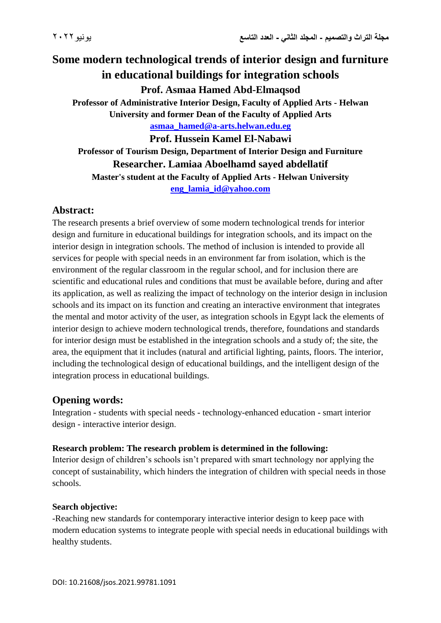# **Some modern technological trends of interior design and furniture in educational buildings for integration schools Prof. Asmaa Hamed Abd-Elmaqsod Professor of Administrative Interior Design, Faculty of Applied Arts - Helwan University and former Dean of the Faculty of Applied Arts**

**[asmaa\\_hamed@a-arts.helwan.edu.eg](mailto:asmaa_hamed@a-arts.helwan.edu.eg)**

**Prof. Hussein Kamel El-Nabawi Professor of Tourism Design, Department of Interior Design and Furniture Researcher. Lamiaa Aboelhamd sayed abdellatif**

**Master's student at the Faculty of Applied Arts - Helwan University [eng\\_lamia\\_id@yahoo.com](mailto:eng_lamia_id@yahoo.com)**

# **Abstract:**

The research presents a brief overview of some modern technological trends for interior design and furniture in educational buildings for integration schools, and its impact on the interior design in integration schools. The method of inclusion is intended to provide all services for people with special needs in an environment far from isolation, which is the environment of the regular classroom in the regular school, and for inclusion there are scientific and educational rules and conditions that must be available before, during and after its application, as well as realizing the impact of technology on the interior design in inclusion schools and its impact on its function and creating an interactive environment that integrates the mental and motor activity of the user, as integration schools in Egypt lack the elements of interior design to achieve modern technological trends, therefore, foundations and standards for interior design must be established in the integration schools and a study of; the site, the area, the equipment that it includes (natural and artificial lighting, paints, floors. The interior, including the technological design of educational buildings, and the intelligent design of the integration process in educational buildings.

## **Opening words:**

Integration - students with special needs - technology-enhanced education - smart interior design - interactive interior design.

#### **Research problem: The research problem is determined in the following:**

Interior design of children's schools isn't prepared with smart technology nor applying the concept of sustainability, which hinders the integration of children with special needs in those schools.

#### **Search objective:**

-Reaching new standards for contemporary interactive interior design to keep pace with modern education systems to integrate people with special needs in educational buildings with healthy students.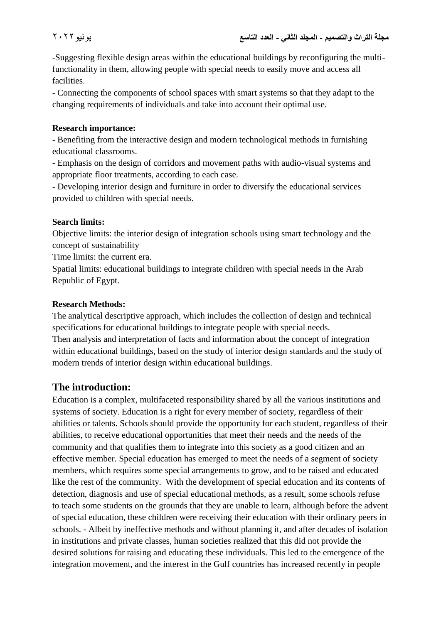-Suggesting flexible design areas within the educational buildings by reconfiguring the multifunctionality in them, allowing people with special needs to easily move and access all facilities.

- Connecting the components of school spaces with smart systems so that they adapt to the changing requirements of individuals and take into account their optimal use.

#### **Research importance:**

- Benefiting from the interactive design and modern technological methods in furnishing educational classrooms.

- Emphasis on the design of corridors and movement paths with audio-visual systems and appropriate floor treatments, according to each case.

- Developing interior design and furniture in order to diversify the educational services provided to children with special needs.

#### **Search limits:**

Objective limits: the interior design of integration schools using smart technology and the concept of sustainability

Time limits: the current era.

Spatial limits: educational buildings to integrate children with special needs in the Arab Republic of Egypt.

#### **Research Methods:**

The analytical descriptive approach, which includes the collection of design and technical specifications for educational buildings to integrate people with special needs. Then analysis and interpretation of facts and information about the concept of integration within educational buildings, based on the study of interior design standards and the study of modern trends of interior design within educational buildings.

## **The introduction:**

Education is a complex, multifaceted responsibility shared by all the various institutions and systems of society. Education is a right for every member of society, regardless of their abilities or talents. Schools should provide the opportunity for each student, regardless of their abilities, to receive educational opportunities that meet their needs and the needs of the community and that qualifies them to integrate into this society as a good citizen and an effective member. Special education has emerged to meet the needs of a segment of society members, which requires some special arrangements to grow, and to be raised and educated like the rest of the community. With the development of special education and its contents of detection, diagnosis and use of special educational methods, as a result, some schools refuse to teach some students on the grounds that they are unable to learn, although before the advent of special education, these children were receiving their education with their ordinary peers in schools. - Albeit by ineffective methods and without planning it, and after decades of isolation in institutions and private classes, human societies realized that this did not provide the desired solutions for raising and educating these individuals. This led to the emergence of the integration movement, and the interest in the Gulf countries has increased recently in people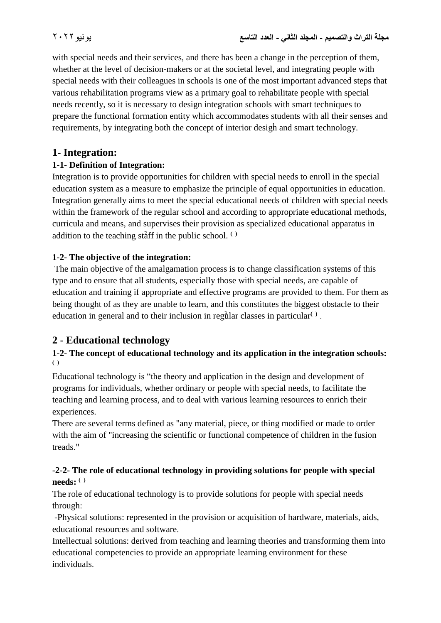with special needs and their services, and there has been a change in the perception of them, whether at the level of decision-makers or at the societal level, and integrating people with special needs with their colleagues in schools is one of the most important advanced steps that various rehabilitation programs view as a primary goal to rehabilitate people with special needs recently, so it is necessary to design integration schools with smart techniques to prepare the functional formation entity which accommodates students with all their senses and requirements, by integrating both the concept of interior design and smart technology.

# **1- Integration:**

## **1-1- Definition of Integration:**

Integration is to provide opportunities for children with special needs to enroll in the special education system as a measure to emphasize the principle of equal opportunities in education. Integration generally aims to meet the special educational needs of children with special needs within the framework of the regular school and according to appropriate educational methods, curricula and means, and supervises their provision as specialized educational apparatus in addition to the teaching staff in the public school.  $($ 

## **1-2- The objective of the integration:**

The main objective of the amalgamation process is to change classification systems of this type and to ensure that all students, especially those with special needs, are capable of education and training if appropriate and effective programs are provided to them. For them as being thought of as they are unable to learn, and this constitutes the biggest obstacle to their education in general and to their inclusion in regular classes in particular<sup>()</sup>.

# **2 - Educational technology**

#### **1-2- The concept of educational technology and its application in the integration schools:**  4 **) (**

Educational technology is "the theory and application in the design and development of programs for individuals, whether ordinary or people with special needs, to facilitate the teaching and learning process, and to deal with various learning resources to enrich their experiences.

There are several terms defined as "any material, piece, or thing modified or made to order with the aim of "increasing the scientific or functional competence of children in the fusion treads."

#### **-2-2- The role of educational technology in providing solutions for people with special needs:**  $($

The role of educational technology is to provide solutions for people with special needs through:

-Physical solutions: represented in the provision or acquisition of hardware, materials, aids, educational resources and software.

Intellectual solutions: derived from teaching and learning theories and transforming them into educational competencies to provide an appropriate learning environment for these individuals.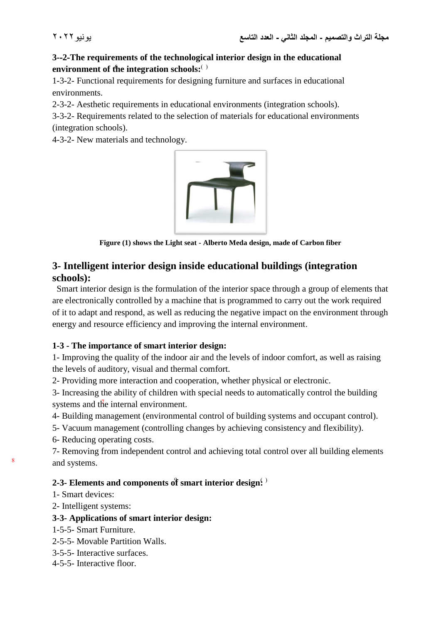#### **3--2-The requirements of the technological interior design in the educational environment of the integration schools:( )**

1-3-2- Functional requirements for designing furniture and surfaces in educational environments.

2-3-2- Aesthetic requirements in educational environments (integration schools).

3-3-2- Requirements related to the selection of materials for educational environments (integration schools).

4-3-2- New materials and technology.



**Figure (1) shows the Light seat - Alberto Meda design, made of Carbon fiber**

# **3- Intelligent interior design inside educational buildings (integration schools):**

 Smart interior design is the formulation of the interior space through a group of elements that are electronically controlled by a machine that is programmed to carry out the work required of it to adapt and respond, as well as reducing the negative impact on the environment through energy and resource efficiency and improving the internal environment.

#### **1-3 - The importance of smart interior design:**

1- Improving the quality of the indoor air and the levels of indoor comfort, as well as raising the levels of auditory, visual and thermal comfort.

2- Providing more interaction and cooperation, whether physical or electronic.

3- Increasing the ability of children with special needs to automatically control the building systems and the internal environment.

4- Building management (environmental control of building systems and occupant control).

5- Vacuum management (controlling changes by achieving consistency and flexibility).

6- Reducing operating costs.

7- Removing from independent control and achieving total control over all building elements and systems. <sup>8</sup>

## **2-3- Elements and components of smart interior design.**)

1- Smart devices:

2- Intelligent systems:

#### **3-3- Applications of smart interior design:**

- 1-5-5- Smart Furniture.
- 2-5-5- Movable Partition Walls.
- 3-5-5- Interactive surfaces.
- 4-5-5- Interactive floor.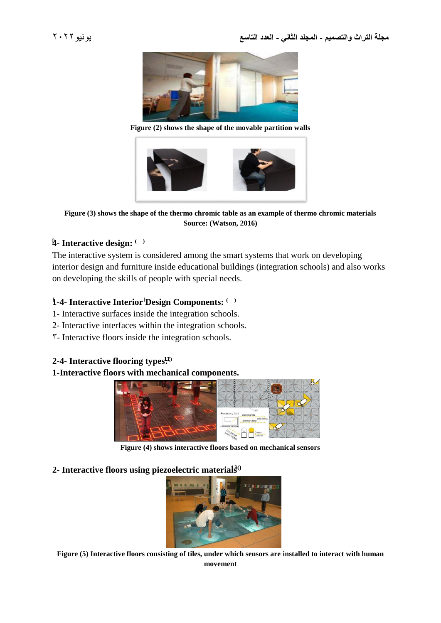

**Figure (2) shows the shape of the movable partition walls**



**Figure (3) shows the shape of the thermo chromic table as an example of thermo chromic materials Source: (Watson, 2016)**

#### **4**- **Interactive design:**  $($  )

The interactive system is considered among the smart systems that work on developing interior design and furniture inside educational buildings (integration schools) and also works on developing the skills of people with special needs.

#### **1-4- Interactive Interior Design Components:** 1 1 **) (**

- 1- Interactive surfaces inside the integration schools.
- 2- Interactive interfaces within the integration schools.
- $\mathcal{F}$  Interactive floors inside the integration schools.

#### **2-4- Interactive flooring types:12)(**

#### **1-Interactive floors with mechanical components.**



**Figure (4) shows interactive floors based on mechanical sensors**

#### **2- Interactive floors using piezoelectric materials13))**



**Figure (5) Interactive floors consisting of tiles, under which sensors are installed to interact with human movement**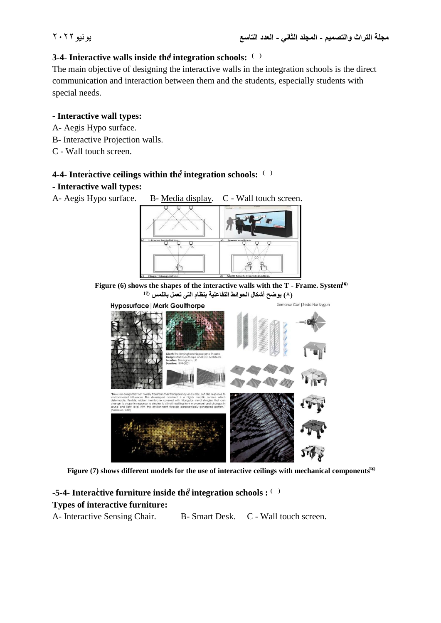#### **3-4- Interactive walls inside the integration schools:**  $( )$

The main objective of designing the interactive walls in the integration schools is the direct communication and interaction between them and the students, especially students with special needs.

#### **- Interactive wall types:**

- A- Aegis Hypo surface.
- B- Interactive Projection walls.
- C Wall touch screen.

#### **4-4- Interactive ceilings within the integration schools:**  $( )$

#### **- Interactive wall types:**



Figure (7) shows different models for the use of interactive ceilings with mechanical components<sup>18)</sup>

#### **-5-4- Interactive furniture inside the integration schools :**  $( )$ **Types of interactive furniture:**

A- Interactive Sensing Chair. B- Smart Desk. C - Wall touch screen.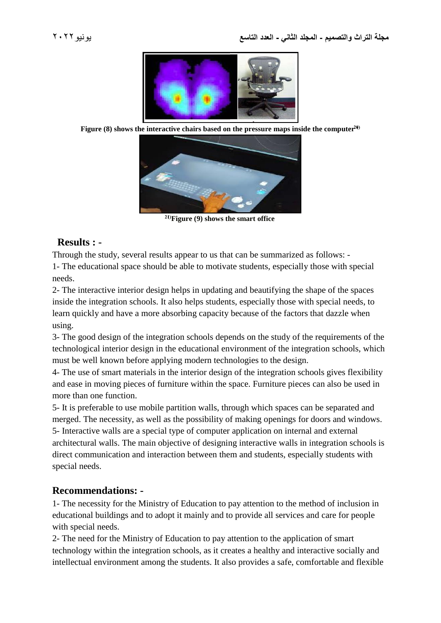

**Figure (8) shows the interactive chairs based on the pressure maps inside the computer**  $2\theta$ 



**21)(Figure (9) shows the smart office** 

## **Results : -**

Through the study, several results appear to us that can be summarized as follows: -

1- The educational space should be able to motivate students, especially those with special needs.

2- The interactive interior design helps in updating and beautifying the shape of the spaces inside the integration schools. It also helps students, especially those with special needs, to learn quickly and have a more absorbing capacity because of the factors that dazzle when using.

3- The good design of the integration schools depends on the study of the requirements of the technological interior design in the educational environment of the integration schools, which must be well known before applying modern technologies to the design.

4- The use of smart materials in the interior design of the integration schools gives flexibility and ease in moving pieces of furniture within the space. Furniture pieces can also be used in more than one function.

5- It is preferable to use mobile partition walls, through which spaces can be separated and merged. The necessity, as well as the possibility of making openings for doors and windows. 5- Interactive walls are a special type of computer application on internal and external architectural walls. The main objective of designing interactive walls in integration schools is direct communication and interaction between them and students, especially students with special needs.

# **Recommendations: -**

1- The necessity for the Ministry of Education to pay attention to the method of inclusion in educational buildings and to adopt it mainly and to provide all services and care for people with special needs.

2- The need for the Ministry of Education to pay attention to the application of smart technology within the integration schools, as it creates a healthy and interactive socially and intellectual environment among the students. It also provides a safe, comfortable and flexible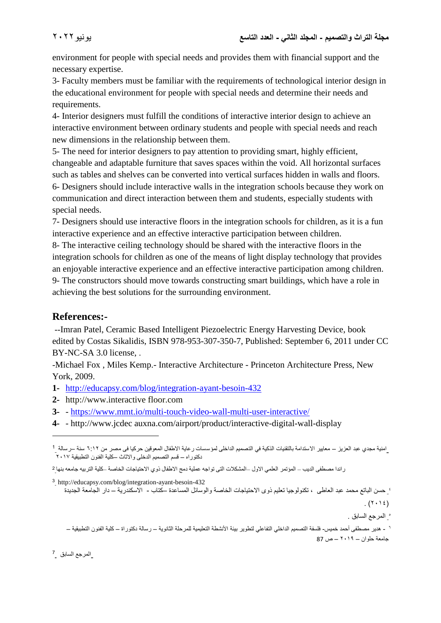environment for people with special needs and provides them with financial support and the necessary expertise.

3- Faculty members must be familiar with the requirements of technological interior design in the educational environment for people with special needs and determine their needs and requirements.

4- Interior designers must fulfill the conditions of interactive interior design to achieve an interactive environment between ordinary students and people with special needs and reach new dimensions in the relationship between them.

5- The need for interior designers to pay attention to providing smart, highly efficient, changeable and adaptable furniture that saves spaces within the void. All horizontal surfaces such as tables and shelves can be converted into vertical surfaces hidden in walls and floors.

6- Designers should include interactive walls in the integration schools because they work on communication and direct interaction between them and students, especially students with special needs.

7- Designers should use interactive floors in the integration schools for children, as it is a fun interactive experience and an effective interactive participation between children.

8- The interactive ceiling technology should be shared with the interactive floors in the integration schools for children as one of the means of light display technology that provides an enjoyable interactive experience and an effective interactive participation among children. 9- The constructors should move towards constructing smart buildings, which have a role in achieving the best solutions for the surrounding environment.

# **References:-**

--Imran Patel, Ceramic Based Intelligent Piezoelectric Energy Harvesting Device, book edited by Costas Sikalidis, ISBN 978-953-307-350-7, Published: September 6, 2011 under CC BY-NC-SA 3.0 license.

-Michael Fox , Miles Kemp.- Interactive Architecture - Princeton Architecture Press, New York, 2009.

- **1-** <http://educapsy.com/blog/integration-ayant-besoin-432>
- **2-** http://www.interactive floor.com
- **3-** <https://www.mmt.io/multi-touch-video-wall-multi-user-interactive/>
- **4-** http://www.jcdec auxna.com/airport/product/interactive-digital-wall-display

<sup>3</sup> http://educapsy.com/blog/integration-ayant-besoin-432

 $(1 \cdot 12)$ 

5 المرجع السابق .

المرجع السابق \_<sup>7</sup>

 $\overline{a}$ 

امنية مجدي عبد العزيز – معايير الاستدامة بالتقنيات الذكية في التصميم الداخلى لمؤسسات رعاية الاطفال المعوقين حركيا فى مصر من 1:17 سنة –رسالة \_<sup>1</sup> دكتوراه – قسم التصميم الدخلى واالثاث –كلية الفنون التطبيقية 2017

<sup>2</sup> راندا مصطفى الديب – المؤتمر العلمي االول –المشكالت التى تواجه عملية دمج االطفال ذوي االحتياجات الخاصة –كلية التربيه جامعه بنها

<sup>4</sup> حسن الباتع محمد عبد العاطى ، تكنولوجيا تعليم ذوى االحتياجات الخاصة والوسائل المساعدة –كتاب - االسكندرية – دار الجامعة الجديدة

<sup>-</sup> هدير مصطفى أحمد خميس- فلسفة التصميم الداخلي التفاعلي لتطوير بيئة األنشطة التعليمية للمرحلة الثانوية – رسالة دكتوراة – كلية الفنون التطبيقية – <sup>6</sup> جامعة حلوان – 2019 – ص 87